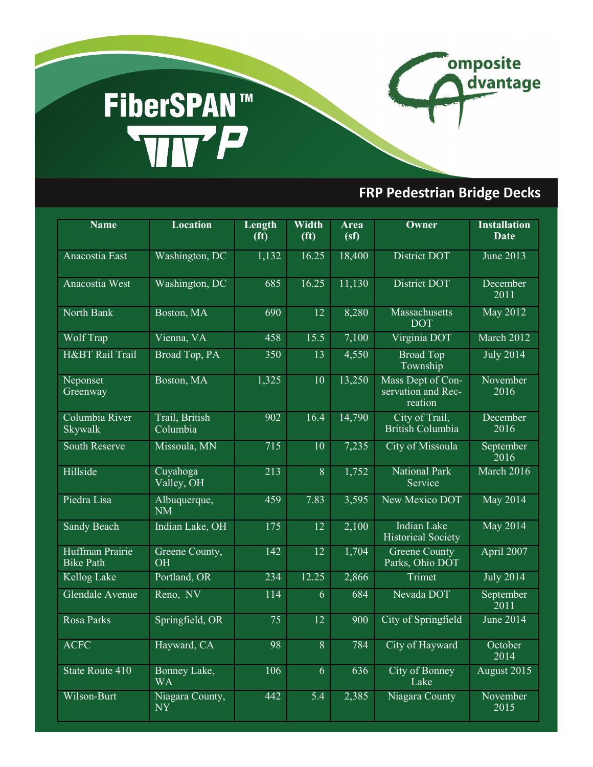## FiberSPAN<sup>TM</sup><br>WIVP



omposite

dvantage

| <b>Name</b>                         | <b>Location</b>            | Length<br>(f <sup>t</sup> ) | Width<br>(f <sup>t</sup> ) | <b>Area</b><br>(sf) | Owner                                              | <b>Installation</b><br><b>Date</b> |
|-------------------------------------|----------------------------|-----------------------------|----------------------------|---------------------|----------------------------------------------------|------------------------------------|
| Anacostia East                      | Washington, DC             | 1,132                       | 16.25                      | 18,400              | District DOT                                       | <b>June 2013</b>                   |
| Anacostia West                      | Washington, DC             | 685                         | 16.25                      | 11,130              | District DOT                                       | December<br>2011                   |
| North Bank                          | Boston, MA                 | 690                         | 12                         | 8,280               | <b>Massachusetts</b><br><b>DOT</b>                 | <b>May 2012</b>                    |
| Wolf Trap                           | Vienna, VA                 | 458                         | 15.5                       | 7,100               | Virginia DOT                                       | March 2012                         |
| H&BT Rail Trail                     | Broad Top, PA              | 350                         | 13                         | 4,550               | <b>Broad Top</b><br>Township                       | <b>July 2014</b>                   |
| Neponset<br>Greenway                | Boston, MA                 | 1,325                       | 10                         | 13,250              | Mass Dept of Con-<br>servation and Rec-<br>reation | November<br>2016                   |
| Columbia River<br>Skywalk           | Trail, British<br>Columbia | 902                         | 16.4                       | 14,790              | City of Trail,<br>British Columbia                 | December<br>2016                   |
| <b>South Reserve</b>                | Missoula, MN               | 715                         | 10                         | 7,235               | <b>City of Missoula</b>                            | September<br>2016                  |
| Hillside                            | Cuyahoga<br>Valley, OH     | 213                         | $\overline{8}$             | 1,752               | <b>National Park</b><br>Service                    | March 2016                         |
| Piedra Lisa                         | Albuquerque,<br><b>NM</b>  | 459                         | 7.83                       | 3,595               | New Mexico DOT                                     | <b>May 2014</b>                    |
| <b>Sandy Beach</b>                  | Indian Lake, OH            | 175                         | 12                         | 2,100               | <b>Indian Lake</b><br><b>Historical Society</b>    | <b>May 2014</b>                    |
| Huffman Prairie<br><b>Bike Path</b> | Greene County,<br>OH       | 142                         | 12                         | 1,704               | <b>Greene County</b><br>Parks, Ohio DOT            | April 2007                         |
| Kellog Lake                         | Portland, OR               | 234                         | 12.25                      | 2,866               | Trimet                                             | <b>July 2014</b>                   |
| Glendale Avenue                     | Reno, NV                   | 114                         | 6                          | 684                 | Nevada DOT                                         | September<br>$\left[2011\right]$   |
| Rosa Parks                          | Springfield, OR            | 75                          | 12                         | 900                 | City of Springfield                                | <b>June 2014</b>                   |
| <b>ACFC</b>                         | Hayward, CA                | 98                          | $\overline{8}$             | 784                 | City of Hayward                                    | October<br>2014                    |
| State Route 410                     | Bonney Lake,<br><b>WA</b>  | 106                         | 6                          | 636                 | City of Bonney<br>Lake                             | August 2015                        |
| Wilson-Burt                         | Niagara County,<br>NY      | 442                         | 5.4                        | 2,385               | Niagara County                                     | November<br>2015                   |